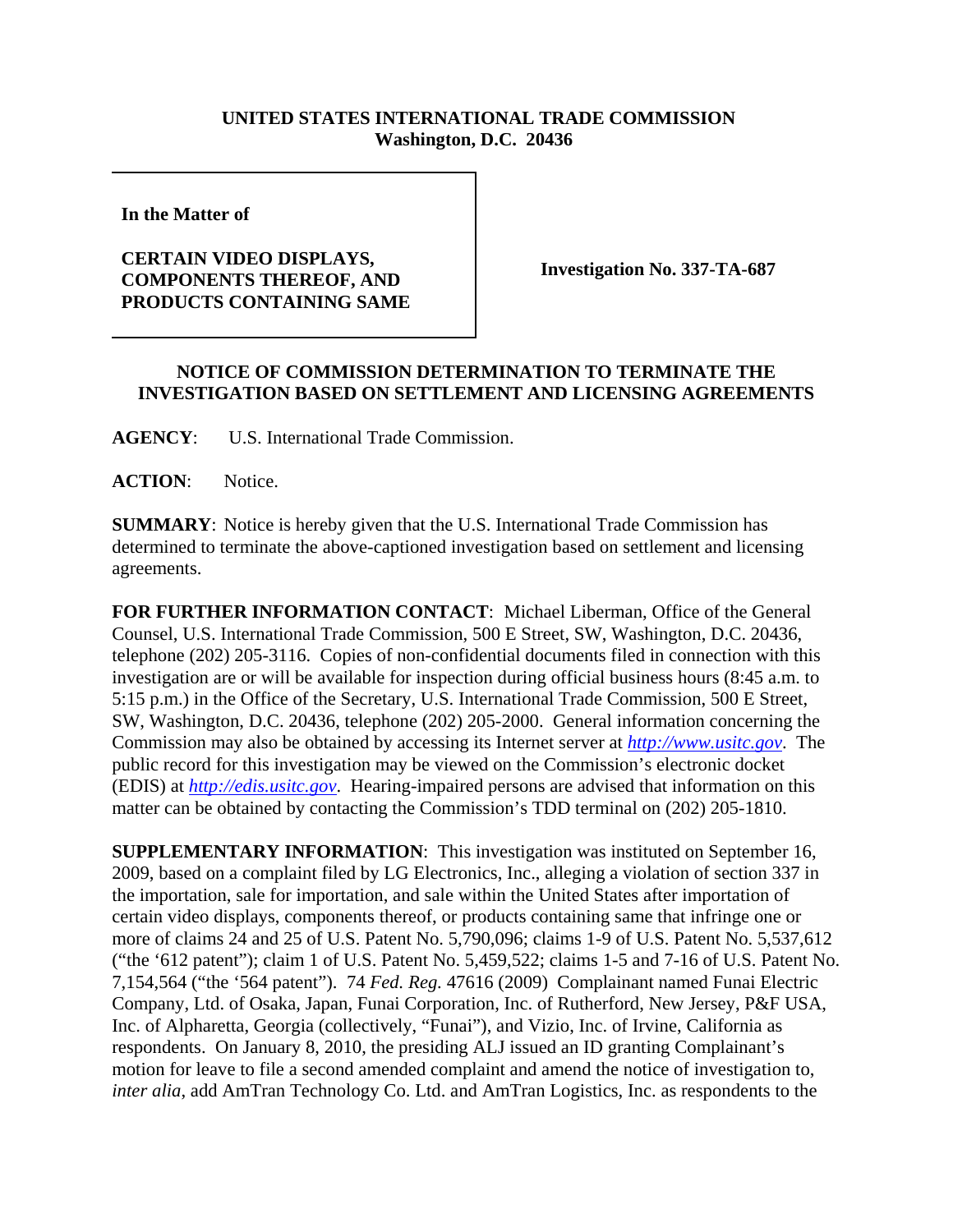## **UNITED STATES INTERNATIONAL TRADE COMMISSION Washington, D.C. 20436**

**In the Matter of** 

## **CERTAIN VIDEO DISPLAYS, COMPONENTS THEREOF, AND PRODUCTS CONTAINING SAME**

**Investigation No. 337-TA-687**

## **NOTICE OF COMMISSION DETERMINATION TO TERMINATE THE INVESTIGATION BASED ON SETTLEMENT AND LICENSING AGREEMENTS**

**AGENCY**: U.S. International Trade Commission.

ACTION: Notice.

**SUMMARY**: Notice is hereby given that the U.S. International Trade Commission has determined to terminate the above-captioned investigation based on settlement and licensing agreements.

**FOR FURTHER INFORMATION CONTACT**: Michael Liberman, Office of the General Counsel, U.S. International Trade Commission, 500 E Street, SW, Washington, D.C. 20436, telephone (202) 205-3116. Copies of non-confidential documents filed in connection with this investigation are or will be available for inspection during official business hours (8:45 a.m. to 5:15 p.m.) in the Office of the Secretary, U.S. International Trade Commission, 500 E Street, SW, Washington, D.C. 20436, telephone (202) 205-2000. General information concerning the Commission may also be obtained by accessing its Internet server at *http://www.usitc.gov*. The public record for this investigation may be viewed on the Commission's electronic docket (EDIS) at *http://edis.usitc.gov*. Hearing-impaired persons are advised that information on this matter can be obtained by contacting the Commission's TDD terminal on (202) 205-1810.

**SUPPLEMENTARY INFORMATION**: This investigation was instituted on September 16, 2009, based on a complaint filed by LG Electronics, Inc., alleging a violation of section 337 in the importation, sale for importation, and sale within the United States after importation of certain video displays, components thereof, or products containing same that infringe one or more of claims 24 and 25 of U.S. Patent No. 5,790,096; claims 1-9 of U.S. Patent No. 5,537,612 ("the '612 patent"); claim 1 of U.S. Patent No. 5,459,522; claims 1-5 and 7-16 of U.S. Patent No. 7,154,564 ("the '564 patent"). 74 *Fed. Reg.* 47616 (2009) Complainant named Funai Electric Company, Ltd. of Osaka, Japan, Funai Corporation, Inc. of Rutherford, New Jersey, P&F USA, Inc. of Alpharetta, Georgia (collectively, "Funai"), and Vizio, Inc. of Irvine, California as respondents. On January 8, 2010, the presiding ALJ issued an ID granting Complainant's motion for leave to file a second amended complaint and amend the notice of investigation to, *inter alia*, add AmTran Technology Co. Ltd. and AmTran Logistics, Inc. as respondents to the